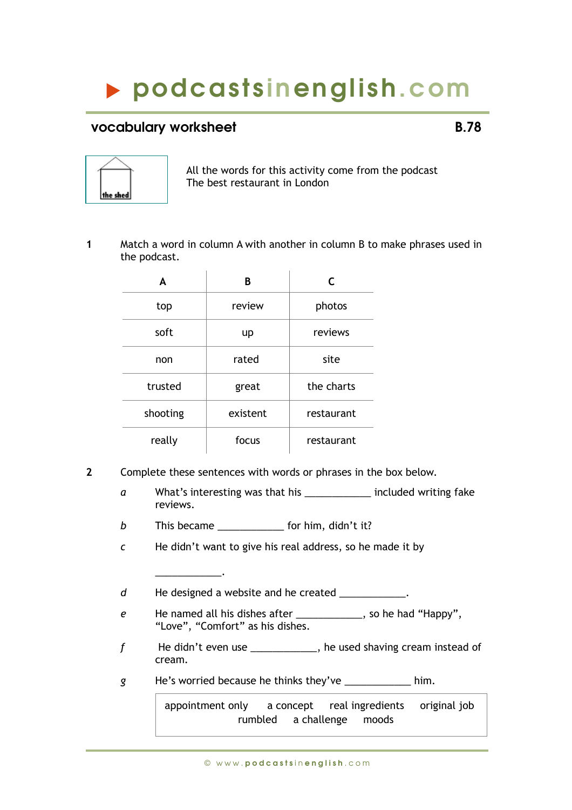## podcasts inenglish.com

## vocabulary worksheet **B.78**



All the words for this activity come from the podcast The best restaurant in London

**1** Match a word in column A with another in column B to make phrases used in the podcast.

| A        | в        | C          |
|----------|----------|------------|
| top      | review   | photos     |
| soft     | up       | reviews    |
| non      | rated    | site       |
| trusted  | great    | the charts |
| shooting | existent | restaurant |
| really   | focus    | restaurant |

- **2** Complete these sentences with words or phrases in the box below.
	- *a* What's interesting was that his \_\_\_\_\_\_\_\_\_\_\_\_ included writing fake reviews.
	- *b* This became **b** for him, didn't it?

\_\_\_\_\_\_\_\_\_\_\_\_.

*c* He didn't want to give his real address, so he made it by

d He designed a website and he created \_\_\_\_\_\_\_\_\_\_\_.

- *e* He named all his dishes after \_\_\_\_\_\_\_\_\_\_\_\_, so he had "Happy", "Love", "Comfort" as his dishes.
- *f* He didn't even use \_\_\_\_\_\_\_\_\_\_\_\_, he used shaving cream instead of cream.
- *g* He's worried because he thinks they've \_\_\_\_\_\_\_\_\_\_\_\_ him.

 appointment only a concept real ingredients original job rumbled a challenge moods

© w w w . p o d c a s t s i n e n g l i s h . c o m